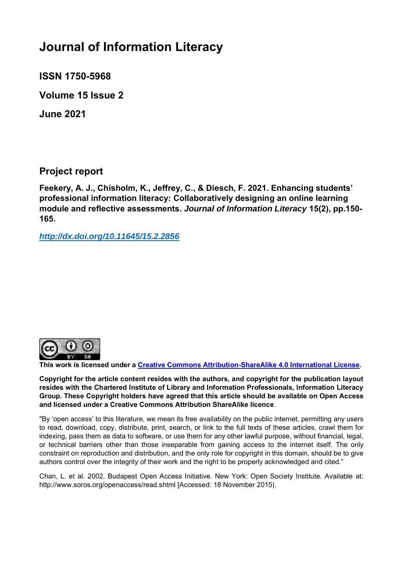# **Journal of Information Literacy**

**ISSN 1750-5968** 

**Volume 15 Issue 2** 

**June 2021**

**Project report**

**Feekery, A. J., Chisholm, K., Jeffrey, C., & Diesch, F. 2021. Enhancing students' professional information literacy: Collaboratively designing an online learning module and reflective assessments.** *Journal of Information Literacy* **15(2), pp.150- 165.**

*<http://dx.doi.org/10.11645/15.2.2856>*



**This work is licensed under a [Creative Commons Attribution-ShareAlike 4.0 International License.](http://creativecommons.org/licenses/by-sa/4.0/)**

**Copyright for the article content resides with the authors, and copyright for the publication layout resides with the Chartered Institute of Library and Information Professionals, Information Literacy Group. These Copyright holders have agreed that this article should be available on Open Access and licensed under a Creative Commons Attribution ShareAlike licence**.

"By 'open access' to this literature, we mean its free availability on the public internet, permitting any users to read, download, copy, distribute, print, search, or link to the full texts of these articles, crawl them for indexing, pass them as data to software, or use them for any other lawful purpose, without financial, legal, or technical barriers other than those inseparable from gaining access to the internet itself. The only constraint on reproduction and distribution, and the only role for copyright in this domain, should be to give authors control over the integrity of their work and the right to be properly acknowledged and cited."

Chan, L. et al. 2002. Budapest Open Access Initiative. New York: Open Society Institute. Available at: http://www.soros.org/openaccess/read.shtml [Accessed: 18 November 2015].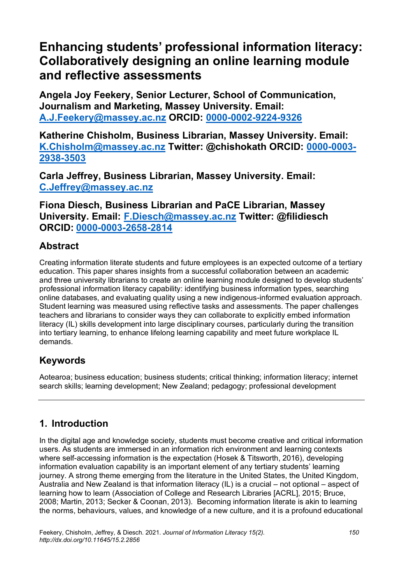# **Enhancing students' professional information literacy: Collaboratively designing an online learning module and reflective assessments**

**Angela Joy Feekery, Senior Lecturer, School of Communication, Journalism and Marketing, Massey University. Email: [A.J.Feekery@massey.ac.nz](mailto:A.J.Feekery@massey.ac.nz) ORCID: [0000-0002-9224-9326](https://orcid.org/0000-0002-9224-9326)**

**Katherine Chisholm, Business Librarian, Massey University. Email: [K.Chisholm@massey.ac.nz](mailto:K.Chisholm@massey.ac.nz) Twitter: @chishokath ORCID: [0000-0003-](https://orcid.org/0000-0003-2938-3503) [2938-3503](https://orcid.org/0000-0003-2938-3503)**

**Carla Jeffrey, Business Librarian, Massey University. Email: [C.Jeffrey@massey.ac.nz](mailto:C.Jeffrey@massey.ac.nz)**

**Fiona Diesch, Business Librarian and PaCE Librarian, Massey University. Email: [F.Diesch@massey.ac.nz](mailto:F.Diesch@massey.ac.nz) Twitter: @filidiesch ORCID: [0000-0003-2658-2814](https://orcid.org/0000-0003-2658-2814)**

## **Abstract**

Creating information literate students and future employees is an expected outcome of a tertiary education. This paper shares insights from a successful collaboration between an academic and three university librarians to create an online learning module designed to develop students' professional information literacy capability: identifying business information types, searching online databases, and evaluating quality using a new indigenous-informed evaluation approach. Student learning was measured using reflective tasks and assessments. The paper challenges teachers and librarians to consider ways they can collaborate to explicitly embed information literacy (IL) skills development into large disciplinary courses, particularly during the transition into tertiary learning, to enhance lifelong learning capability and meet future workplace IL demands.

# **Keywords**

Aotearoa; business education; business students; critical thinking; information literacy; internet search skills; learning development; New Zealand; pedagogy; professional development

# **1. Introduction**

In the digital age and knowledge society, students must become creative and critical information users. As students are immersed in an information rich environment and learning contexts where self-accessing information is the expectation (Hosek & Titsworth, 2016), developing information evaluation capability is an important element of any tertiary students' learning journey. A strong theme emerging from the literature in the United States, the United Kingdom, Australia and New Zealand is that information literacy (IL) is a crucial – not optional – aspect of learning how to learn (Association of College and Research Libraries [ACRL], 2015; Bruce, 2008; Martin, 2013; Secker & Coonan, 2013). Becoming information literate is akin to learning the norms, behaviours, values, and knowledge of a new culture, and it is a profound educational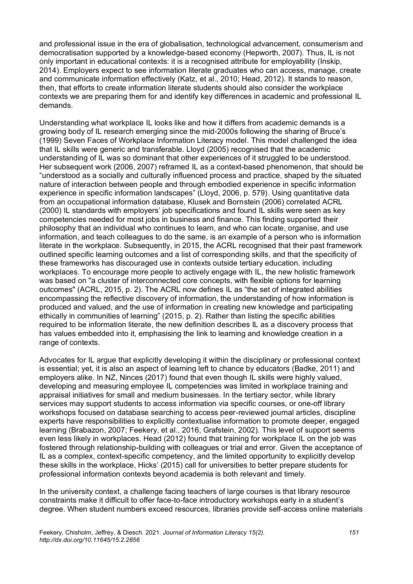and professional issue in the era of globalisation, technological advancement, consumerism and democratisation supported by a knowledge-based economy (Hepworth, 2007). Thus, IL is not only important in educational contexts: it is a recognised attribute for employability (Inskip, 2014). Employers expect to see information literate graduates who can access, manage, create and communicate information effectively (Katz, et al., 2010; Head, 2012). It stands to reason, then, that efforts to create information literate students should also consider the workplace contexts we are preparing them for and identify key differences in academic and professional IL demands.

Understanding what workplace IL looks like and how it differs from academic demands is a growing body of IL research emerging since the mid-2000s following the sharing of Bruce's (1999) Seven Faces of Workplace Information Literacy model. This model challenged the idea that IL skills were generic and transferable. Lloyd (2005) recognised that the academic understanding of IL was so dominant that other experiences of it struggled to be understood. Her subsequent work (2006, 2007) reframed IL as a context-based phenomenon, that should be "understood as a socially and culturally influenced process and practice, shaped by the situated nature of interaction between people and through embodied experience in specific information experience in specific information landscapes" (Lloyd, 2006, p. 579). Using quantitative data from an occupational information database, Klusek and Bornstein (2006) correlated ACRL (2000) IL standards with employers' job specifications and found IL skills were seen as key competencies needed for most jobs in business and finance. This finding supported their philosophy that an individual who continues to learn, and who can locate, organise, and use information, and teach colleagues to do the same, is an example of a person who is information literate in the workplace. Subsequently, in 2015, the ACRL recognised that their past framework outlined specific learning outcomes and a list of corresponding skills, and that the specificity of these frameworks has discouraged use in contexts outside tertiary education, including workplaces. To encourage more people to actively engage with IL, the new holistic framework was based on "a cluster of interconnected core concepts, with flexible options for learning outcomes" (ACRL, 2015, p. 2). The ACRL now defines IL as "the set of integrated abilities encompassing the reflective discovery of information, the understanding of how information is produced and valued, and the use of information in creating new knowledge and participating ethically in communities of learning" (2015, p. 2). Rather than listing the specific abilities required to be information literate, the new definition describes IL as a discovery process that has values embedded into it, emphasising the link to learning and knowledge creation in a range of contexts.

Advocates for IL argue that explicitly developing it within the disciplinary or professional context is essential; yet, it is also an aspect of learning left to chance by educators (Badke, 2011) and employers alike. In NZ, Ninces (2017) found that even though IL skills were highly valued, developing and measuring employee IL competencies was limited in workplace training and appraisal initiatives for small and medium businesses. In the tertiary sector, while library services may support students to access information via specific courses, or one-off library workshops focused on database searching to access peer-reviewed journal articles, discipline experts have responsibilities to explicitly contextualise information to promote deeper, engaged learning (Brabazon, 2007; Feekery, et al., 2016; Grafstein, 2002). This level of support seems even less likely in workplaces. Head (2012) found that training for workplace IL on the job was fostered through relationship-building with colleagues or trial and error. Given the acceptance of IL as a complex, context-specific competency, and the limited opportunity to explicitly develop these skills in the workplace, Hicks' (2015) call for universities to better prepare students for professional information contexts beyond academia is both relevant and timely.

In the university context, a challenge facing teachers of large courses is that library resource constraints make it difficult to offer face-to-face introductory workshops early in a student's degree. When student numbers exceed resources, libraries provide self-access online materials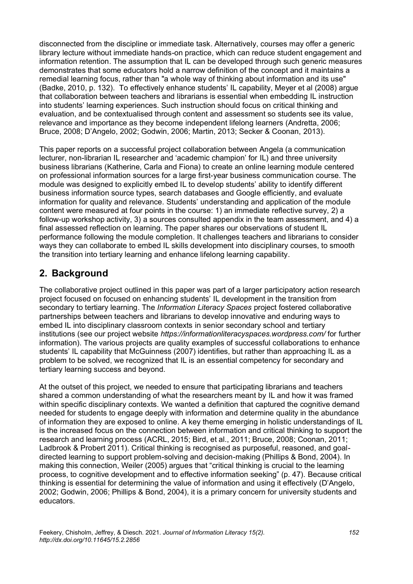disconnected from the discipline or immediate task. Alternatively, courses may offer a generic library lecture without immediate hands-on practice, which can reduce student engagement and information retention. The assumption that IL can be developed through such generic measures demonstrates that some educators hold a narrow definition of the concept and it maintains a remedial learning focus, rather than "a whole way of thinking about information and its use" (Badke, 2010, p. 132). To effectively enhance students' IL capability, Meyer et al (2008) argue that collaboration between teachers and librarians is essential when embedding IL instruction into students' learning experiences. Such instruction should focus on critical thinking and evaluation, and be contextualised through content and assessment so students see its value, relevance and importance as they become independent lifelong learners (Andretta, 2006; Bruce, 2008; D'Angelo, 2002; Godwin, 2006; Martin, 2013; Secker & Coonan, 2013).

This paper reports on a successful project collaboration between Angela (a communication lecturer, non-librarian IL researcher and 'academic champion' for IL) and three university business librarians (Katherine, Carla and Fiona) to create an online learning module centered on professional information sources for a large first-year business communication course. The module was designed to explicitly embed IL to develop students' ability to identify different business information source types, search databases and Google efficiently, and evaluate information for quality and relevance. Students' understanding and application of the module content were measured at four points in the course: 1) an immediate reflective survey, 2) a follow-up workshop activity, 3) a sources consulted appendix in the team assessment, and 4) a final assessed reflection on learning. The paper shares our observations of student IL performance following the module completion. It challenges teachers and librarians to consider ways they can collaborate to embed IL skills development into disciplinary courses, to smooth the transition into tertiary learning and enhance lifelong learning capability.

## **2. Background**

The collaborative project outlined in this paper was part of a larger participatory action research project focused on focused on enhancing students' IL development in the transition from secondary to tertiary learning. The *Information Literacy Spaces* project fostered collaborative partnerships between teachers and librarians to develop innovative and enduring ways to embed IL into disciplinary classroom contexts in senior secondary school and tertiary institutions (see our project website *https://informationliteracyspaces.wordpress.com/* for further information). The various projects are quality examples of successful collaborations to enhance students' IL capability that McGuinness (2007) identifies, but rather than approaching IL as a problem to be solved, we recognized that IL is an essential competency for secondary and tertiary learning success and beyond.

At the outset of this project, we needed to ensure that participating librarians and teachers shared a common understanding of what the researchers meant by IL and how it was framed within specific disciplinary contexts. We wanted a definition that captured the cognitive demand needed for students to engage deeply with information and determine quality in the abundance of information they are exposed to online. A key theme emerging in holistic understandings of IL is the increased focus on the connection between information and critical thinking to support the research and learning process (ACRL, 2015; Bird, et al., 2011; Bruce, 2008; Coonan, 2011; Ladbrook & Probert 2011). Critical thinking is recognised as purposeful, reasoned, and goaldirected learning to support problem-solving and decision-making (Phillips & Bond, 2004). In making this connection, Weiler (2005) argues that "critical thinking is crucial to the learning process, to cognitive development and to effective information seeking" (p. 47). Because critical thinking is essential for determining the value of information and using it effectively (D'Angelo, 2002; Godwin, 2006; Phillips & Bond, 2004), it is a primary concern for university students and educators.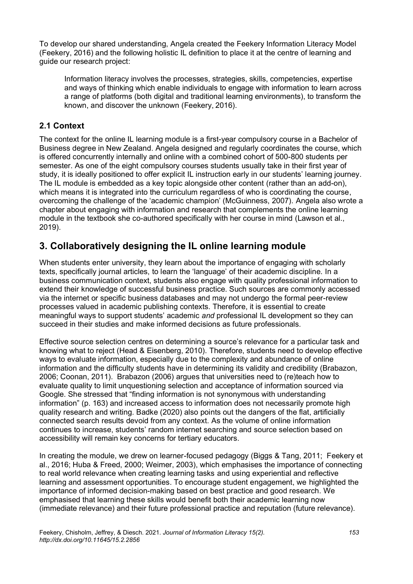To develop our shared understanding, Angela created the Feekery Information Literacy Model (Feekery, 2016) and the following holistic IL definition to place it at the centre of learning and guide our research project:

Information literacy involves the processes, strategies, skills, competencies, expertise and ways of thinking which enable individuals to engage with information to learn across a range of platforms (both digital and traditional learning environments), to transform the known, and discover the unknown (Feekery, 2016).

### **2.1 Context**

The context for the online IL learning module is a first-year compulsory course in a Bachelor of Business degree in New Zealand. Angela designed and regularly coordinates the course, which is offered concurrently internally and online with a combined cohort of 500-800 students per semester. As one of the eight compulsory courses students usually take in their first year of study, it is ideally positioned to offer explicit IL instruction early in our students' learning journey. The IL module is embedded as a key topic alongside other content (rather than an add-on), which means it is integrated into the curriculum regardless of who is coordinating the course, overcoming the challenge of the 'academic champion' (McGuinness, 2007). Angela also wrote a chapter about engaging with information and research that complements the online learning module in the textbook she co-authored specifically with her course in mind (Lawson et al., 2019).

# **3. Collaboratively designing the IL online learning module**

When students enter university, they learn about the importance of engaging with scholarly texts, specifically journal articles, to learn the 'language' of their academic discipline. In a business communication context, students also engage with quality professional information to extend their knowledge of successful business practice. Such sources are commonly accessed via the internet or specific business databases and may not undergo the formal peer-review processes valued in academic publishing contexts. Therefore, it is essential to create meaningful ways to support students' academic *and* professional IL development so they can succeed in their studies and make informed decisions as future professionals.

Effective source selection centres on determining a source's relevance for a particular task and knowing what to reject (Head & Eisenberg, 2010). Therefore, students need to develop effective ways to evaluate information, especially due to the complexity and abundance of online information and the difficulty students have in determining its validity and credibility (Brabazon, 2006; Coonan, 2011). Brabazon (2006) argues that universities need to (re)teach how to evaluate quality to limit unquestioning selection and acceptance of information sourced via Google. She stressed that "finding information is not synonymous with understanding information" (p. 163) and increased access to information does not necessarily promote high quality research and writing. Badke (2020) also points out the dangers of the flat, artificially connected search results devoid from any context. As the volume of online information continues to increase, students' random internet searching and source selection based on accessibility will remain key concerns for tertiary educators.

In creating the module, we drew on learner-focused pedagogy (Biggs & Tang, 2011; Feekery et al., 2016; Huba & Freed, 2000; Weimer, 2003), which emphasises the importance of connecting to real world relevance when creating learning tasks and using experiential and reflective learning and assessment opportunities. To encourage student engagement, we highlighted the importance of informed decision-making based on best practice and good research. We emphasised that learning these skills would benefit both their academic learning now (immediate relevance) and their future professional practice and reputation (future relevance).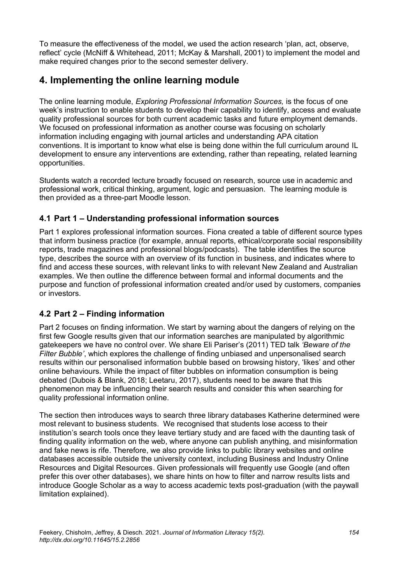To measure the effectiveness of the model, we used the action research 'plan, act, observe, reflect' cycle (McNiff & Whitehead, 2011; McKay & Marshall, 2001) to implement the model and make required changes prior to the second semester delivery.

## **4. Implementing the online learning module**

The online learning module, *Exploring Professional Information Sources,* is the focus of one week's instruction to enable students to develop their capability to identify, access and evaluate quality professional sources for both current academic tasks and future employment demands. We focused on professional information as another course was focusing on scholarly information including engaging with journal articles and understanding APA citation conventions. It is important to know what else is being done within the full curriculum around IL development to ensure any interventions are extending, rather than repeating, related learning opportunities.

Students watch a recorded lecture broadly focused on research, source use in academic and professional work, critical thinking, argument, logic and persuasion. The learning module is then provided as a three-part Moodle lesson.

### **4.1 Part 1 – Understanding professional information sources**

Part 1 explores professional information sources. Fiona created a table of different source types that inform business practice (for example, annual reports, ethical/corporate social responsibility reports, trade magazines and professional blogs/podcasts). The table identifies the source type, describes the source with an overview of its function in business, and indicates where to find and access these sources, with relevant links to with relevant New Zealand and Australian examples. We then outline the difference between formal and informal documents and the purpose and function of professional information created and/or used by customers, companies or investors.

## **4.2 Part 2 – Finding information**

Part 2 focuses on finding information. We start by warning about the dangers of relying on the first few Google results given that our information searches are manipulated by algorithmic gatekeepers we have no control over. We share Eli Pariser's (2011) TED talk *'Beware of the Filter Bubble'*, which explores the challenge of finding unbiased and unpersonalised search results within our personalised information bubble based on browsing history, 'likes' and other online behaviours. While the impact of filter bubbles on information consumption is being debated (Dubois & Blank, 2018; Leetaru, 2017), students need to be aware that this phenomenon may be influencing their search results and consider this when searching for quality professional information online.

The section then introduces ways to search three library databases Katherine determined were most relevant to business students. We recognised that students lose access to their institution's search tools once they leave tertiary study and are faced with the daunting task of finding quality information on the web, where anyone can publish anything, and misinformation and fake news is rife. Therefore, we also provide links to public library websites and online databases accessible outside the university context, including Business and Industry Online Resources and Digital Resources. Given professionals will frequently use Google (and often prefer this over other databases), we share hints on how to filter and narrow results lists and introduce Google Scholar as a way to access academic texts post-graduation (with the paywall limitation explained).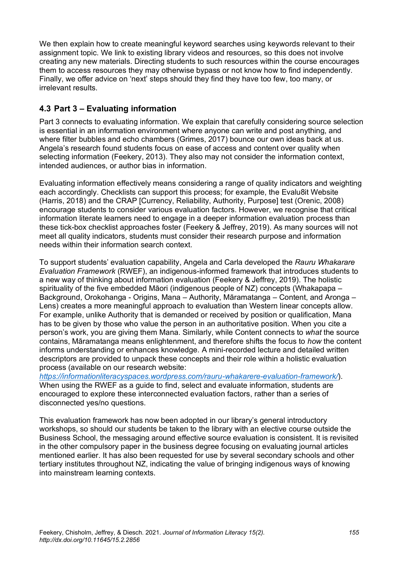We then explain how to create meaningful keyword searches using keywords relevant to their assignment topic. We link to existing library videos and resources, so this does not involve creating any new materials. Directing students to such resources within the course encourages them to access resources they may otherwise bypass or not know how to find independently. Finally, we offer advice on 'next' steps should they find they have too few, too many, or irrelevant results.

### **4.3 Part 3 – Evaluating information**

Part 3 connects to evaluating information. We explain that carefully considering source selection is essential in an information environment where anyone can write and post anything, and where filter bubbles and echo chambers (Grimes, 2017) bounce our own ideas back at us. Angela's research found students focus on ease of access and content over quality when selecting information (Feekery, 2013). They also may not consider the information context, intended audiences, or author bias in information.

Evaluating information effectively means considering a range of quality indicators and weighting each accordingly. Checklists can support this process; for example, the Evalu8it Website (Harris, 2018) and the CRAP [Currency, Reliability, Authority, Purpose] test (Orenic, 2008) encourage students to consider various evaluation factors. However, we recognise that critical information literate learners need to engage in a deeper information evaluation process than these tick-box checklist approaches foster (Feekery & Jeffrey, 2019). As many sources will not meet all quality indicators, students must consider their research purpose and information needs within their information search context.

To support students' evaluation capability, Angela and Carla developed the *Rauru Whakarare Evaluation Framework* (RWEF), an indigenous-informed framework that introduces students to a new way of thinking about information evaluation (Feekery & Jeffrey, 2019). The holistic spirituality of the five embedded Māori (indigenous people of NZ) concepts (Whakapapa – Background, Orokohanga - Origins, Mana – Authority, Māramatanga – Content, and Aronga – Lens) creates a more meaningful approach to evaluation than Western linear concepts allow. For example, unlike Authority that is demanded or received by position or qualification, Mana has to be given by those who value the person in an authoritative position. When you cite a person's work, you are giving them Mana. Similarly, while Content connects to *what* the source contains, Māramatanga means enlightenment, and therefore shifts the focus to *how* the content informs understanding or enhances knowledge. A mini-recorded lecture and detailed written descriptors are provided to unpack these concepts and their role within a holistic evaluation process (available on our research website:

*<https://informationliteracyspaces.wordpress.com/rauru-whakarere-evaluation-framework/>*). When using the RWEF as a guide to find, select and evaluate information, students are encouraged to explore these interconnected evaluation factors, rather than a series of disconnected yes/no questions.

This evaluation framework has now been adopted in our library's general introductory workshops, so should our students be taken to the library with an elective course outside the Business School, the messaging around effective source evaluation is consistent. It is revisited in the other compulsory paper in the business degree focusing on evaluating journal articles mentioned earlier. It has also been requested for use by several secondary schools and other tertiary institutes throughout NZ, indicating the value of bringing indigenous ways of knowing into mainstream learning contexts.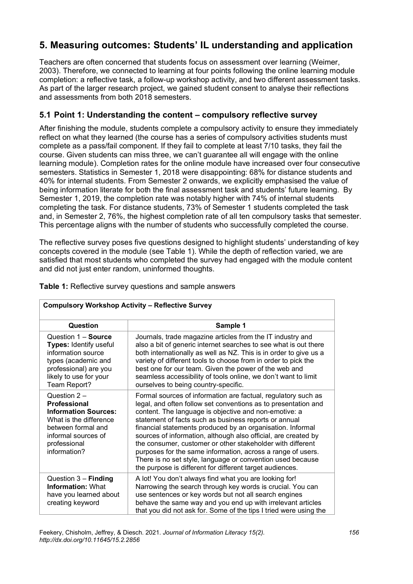# **5. Measuring outcomes: Students' IL understanding and application**

Teachers are often concerned that students focus on assessment over learning (Weimer, 2003). Therefore, we connected to learning at four points following the online learning module completion: a reflective task, a follow-up workshop activity, and two different assessment tasks. As part of the larger research project, we gained student consent to analyse their reflections and assessments from both 2018 semesters.

#### **5.1 Point 1: Understanding the content – compulsory reflective survey**

After finishing the module, students complete a compulsory activity to ensure they immediately reflect on what they learned (the course has a series of compulsory activities students must complete as a pass/fail component. If they fail to complete at least 7/10 tasks, they fail the course. Given students can miss three, we can't guarantee all will engage with the online learning module). Completion rates for the online module have increased over four consecutive semesters. Statistics in Semester 1, 2018 were disappointing: 68% for distance students and 40% for internal students. From Semester 2 onwards, we explicitly emphasised the value of being information literate for both the final assessment task and students' future learning. By Semester 1, 2019, the completion rate was notably higher with 74% of internal students completing the task. For distance students, 73% of Semester 1 students completed the task and, in Semester 2, 76%, the highest completion rate of all ten compulsory tasks that semester. This percentage aligns with the number of students who successfully completed the course.

The reflective survey poses five questions designed to highlight students' understanding of key concepts covered in the module (see Table 1). While the depth of reflection varied, we are satisfied that most students who completed the survey had engaged with the module content and did not just enter random, uninformed thoughts.

| $\frac{1}{2}$                                                                                                                                                             |                                                                                                                                                                                                                                                                                                                                                                                                                                                                                                                                                                                                                                          |  |
|---------------------------------------------------------------------------------------------------------------------------------------------------------------------------|------------------------------------------------------------------------------------------------------------------------------------------------------------------------------------------------------------------------------------------------------------------------------------------------------------------------------------------------------------------------------------------------------------------------------------------------------------------------------------------------------------------------------------------------------------------------------------------------------------------------------------------|--|
| Question                                                                                                                                                                  | Sample 1                                                                                                                                                                                                                                                                                                                                                                                                                                                                                                                                                                                                                                 |  |
| Question 1 - Source<br>Types: Identify useful<br>information source<br>types (academic and<br>professional) are you<br>likely to use for your<br>Team Report?             | Journals, trade magazine articles from the IT industry and<br>also a bit of generic internet searches to see what is out there<br>both internationally as well as NZ. This is in order to give us a<br>variety of different tools to choose from in order to pick the<br>best one for our team. Given the power of the web and<br>seamless accessibility of tools online, we don't want to limit<br>ourselves to being country-specific.                                                                                                                                                                                                 |  |
| Question 2 -<br><b>Professional</b><br><b>Information Sources:</b><br>What is the difference<br>between formal and<br>informal sources of<br>professional<br>information? | Formal sources of information are factual, regulatory such as<br>legal, and often follow set conventions as to presentation and<br>content. The language is objective and non-emotive: a<br>statement of facts such as business reports or annual<br>financial statements produced by an organisation. Informal<br>sources of information, although also official, are created by<br>the consumer, customer or other stakeholder with different<br>purposes for the same information, across a range of users.<br>There is no set style, language or convention used because<br>the purpose is different for different target audiences. |  |
| Question $3 -$ Finding<br><b>Information: What</b><br>have you learned about<br>creating keyword                                                                          | A lot! You don't always find what you are looking for!<br>Narrowing the search through key words is crucial. You can<br>use sentences or key words but not all search engines<br>behave the same way and you end up with irrelevant articles<br>that you did not ask for. Some of the tips I tried were using the                                                                                                                                                                                                                                                                                                                        |  |

**Table 1:** Reflective survey questions and sample answers

**Compulsory Workshop Activity – Reflective Survey**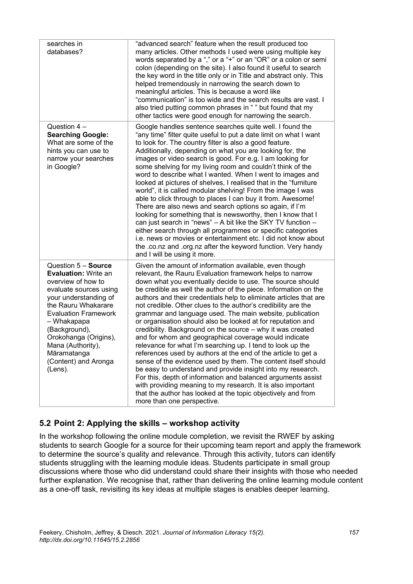| searches in<br>databases?                                                                                                                                                                                                                                                                                         | "advanced search" feature when the result produced too<br>many articles. Other methods I used were using multiple key<br>words separated by a "," or a "+" or an "OR" or a colon or semi<br>colon (depending on the site). I also found it useful to search<br>the key word in the title only or in Title and abstract only. This<br>helped tremendously in narrowing the search down to<br>meaningful articles. This is because a word like<br>"communication" is too wide and the search results are vast. I<br>also tried putting common phrases in "" but found that my<br>other tactics were good enough for narrowing the search.                                                                                                                                                                                                                                                                                                                                                                                                                                                                                                |
|-------------------------------------------------------------------------------------------------------------------------------------------------------------------------------------------------------------------------------------------------------------------------------------------------------------------|----------------------------------------------------------------------------------------------------------------------------------------------------------------------------------------------------------------------------------------------------------------------------------------------------------------------------------------------------------------------------------------------------------------------------------------------------------------------------------------------------------------------------------------------------------------------------------------------------------------------------------------------------------------------------------------------------------------------------------------------------------------------------------------------------------------------------------------------------------------------------------------------------------------------------------------------------------------------------------------------------------------------------------------------------------------------------------------------------------------------------------------|
| Question $4-$<br><b>Searching Google:</b><br>What are some of the<br>hints you can use to<br>narrow your searches<br>in Google?                                                                                                                                                                                   | Google handles sentence searches quite well. I found the<br>"any time" filter quite useful to put a date limit on what I want<br>to look for. The country filter is also a good feature.<br>Additionally, depending on what you are looking for, the<br>images or video search is good. For e.g. I am looking for<br>some shelving for my living room and couldn't think of the<br>word to describe what I wanted. When I went to images and<br>looked at pictures of shelves, I realised that in the "furniture<br>world", it is called modular shelving! From the image I was<br>able to click through to places I can buy it from. Awesome!<br>There are also news and search options so again, if I'm<br>looking for something that is newsworthy, then I know that I<br>can just search in "news" - A bit like the SKY TV function -<br>either search through all programmes or specific categories<br>i.e. news or movies or entertainment etc. I did not know about<br>the .co.nz and .org.nz after the keyword function. Very handy<br>and I will be using it more.                                                            |
| Question 5 - Source<br><b>Evaluation: Write an</b><br>overview of how to<br>evaluate sources using<br>your understanding of<br>the Rauru Whakarare<br><b>Evaluation Framework</b><br>- Whakapapa<br>(Background),<br>Orokohanga (Origins),<br>Mana (Authority),<br>Māramatanga<br>(Content) and Aronga<br>(Lens). | Given the amount of information available, even though<br>relevant, the Rauru Evaluation framework helps to narrow<br>down what you eventually decide to use. The source should<br>be credible as well the author of the piece. Information on the<br>authors and their credentials help to eliminate articles that are<br>not credible. Other clues to the author's credibility are the<br>grammar and language used. The main website, publication<br>or organisation should also be looked at for reputation and<br>credibility. Background on the source - why it was created<br>and for whom and geographical coverage would indicate<br>relevance for what I'm searching up. I tend to look up the<br>references used by authors at the end of the article to get a<br>sense of the evidence used by them. The content itself should<br>be easy to understand and provide insight into my research.<br>For this, depth of information and balanced arguments assist<br>with providing meaning to my research. It is also important<br>that the author has looked at the topic objectively and from<br>more than one perspective. |

#### **5.2 Point 2: Applying the skills – workshop activity**

In the workshop following the online module completion, we revisit the RWEF by asking students to search Google for a source for their upcoming team report and apply the framework to determine the source's quality and relevance. Through this activity, tutors can identify students struggling with the learning module ideas. Students participate in small group discussions where those who did understand could share their insights with those who needed further explanation. We recognise that, rather than delivering the online learning module content as a one-off task, revisiting its key ideas at multiple stages is enables deeper learning.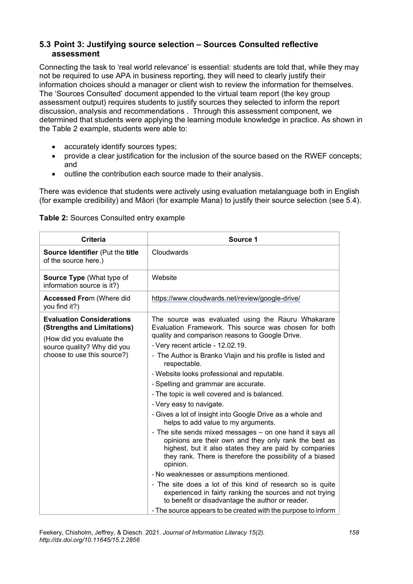#### **5.3 Point 3: Justifying source selection – Sources Consulted reflective assessment**

Connecting the task to 'real world relevance' is essential: students are told that, while they may not be required to use APA in business reporting, they will need to clearly justify their information choices should a manager or client wish to review the information for themselves. The 'Sources Consulted' document appended to the virtual team report (the key group assessment output) requires students to justify sources they selected to inform the report discussion, analysis and recommendations . Through this assessment component, we determined that students were applying the learning module knowledge in practice. As shown in the Table 2 example, students were able to:

- accurately identify sources types;
- provide a clear justification for the inclusion of the source based on the RWEF concepts; and
- outline the contribution each source made to their analysis.

There was evidence that students were actively using evaluation metalanguage both in English (for example credibility) and Māori (for example Mana) to justify their source selection (see 5.4).

| Table 2: Sources Consulted entry example |
|------------------------------------------|
|                                          |

| <b>Criteria</b>                                                                                                                                            | Source 1                                                                                                                                                                                                                                                                                                                                                                                                                                                                                                                                                                                                                                                                                                                                                                                                                                                                                                                                                                                                                                                                                                       |
|------------------------------------------------------------------------------------------------------------------------------------------------------------|----------------------------------------------------------------------------------------------------------------------------------------------------------------------------------------------------------------------------------------------------------------------------------------------------------------------------------------------------------------------------------------------------------------------------------------------------------------------------------------------------------------------------------------------------------------------------------------------------------------------------------------------------------------------------------------------------------------------------------------------------------------------------------------------------------------------------------------------------------------------------------------------------------------------------------------------------------------------------------------------------------------------------------------------------------------------------------------------------------------|
| Source Identifier (Put the title<br>of the source here.)                                                                                                   | Cloudwards                                                                                                                                                                                                                                                                                                                                                                                                                                                                                                                                                                                                                                                                                                                                                                                                                                                                                                                                                                                                                                                                                                     |
| Source Type (What type of<br>information source is it?)                                                                                                    | Website                                                                                                                                                                                                                                                                                                                                                                                                                                                                                                                                                                                                                                                                                                                                                                                                                                                                                                                                                                                                                                                                                                        |
| <b>Accessed From (Where did</b><br>you find it?)                                                                                                           | https://www.cloudwards.net/review/google-drive/                                                                                                                                                                                                                                                                                                                                                                                                                                                                                                                                                                                                                                                                                                                                                                                                                                                                                                                                                                                                                                                                |
| <b>Evaluation Considerations</b><br>(Strengths and Limitations)<br>(How did you evaluate the<br>source quality? Why did you<br>choose to use this source?) | The source was evaluated using the Rauru Whakarare<br>Evaluation Framework. This source was chosen for both<br>quality and comparison reasons to Google Drive.<br>- Very recent article - 12.02.19.<br>- The Author is Branko Vlajin and his profile is listed and<br>respectable.<br>- Website looks professional and reputable.<br>- Spelling and grammar are accurate.<br>- The topic is well covered and is balanced.<br>- Very easy to navigate.<br>- Gives a lot of insight into Google Drive as a whole and<br>helps to add value to my arguments.<br>- The site sends mixed messages – on one hand it says all<br>opinions are their own and they only rank the best as<br>highest, but it also states they are paid by companies<br>they rank. There is therefore the possibility of a biased<br>opinion.<br>- No weaknesses or assumptions mentioned.<br>- The site does a lot of this kind of research so is quite<br>experienced in fairly ranking the sources and not trying<br>to benefit or disadvantage the author or reader.<br>- The source appears to be created with the purpose to inform |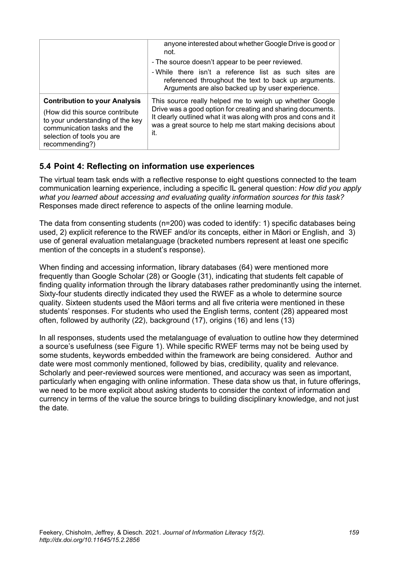|                                                                                                                                                                                             | anyone interested about whether Google Drive is good or<br>not.                                                                                                                                                                                                |
|---------------------------------------------------------------------------------------------------------------------------------------------------------------------------------------------|----------------------------------------------------------------------------------------------------------------------------------------------------------------------------------------------------------------------------------------------------------------|
|                                                                                                                                                                                             | - The source doesn't appear to be peer reviewed.                                                                                                                                                                                                               |
|                                                                                                                                                                                             | - While there isn't a reference list as such sites are<br>referenced throughout the text to back up arguments.<br>Arguments are also backed up by user experience.                                                                                             |
| <b>Contribution to your Analysis</b><br>(How did this source contribute)<br>to your understanding of the key<br>communication tasks and the<br>selection of tools you are<br>recommending?) | This source really helped me to weigh up whether Google<br>Drive was a good option for creating and sharing documents.<br>It clearly outlined what it was along with pros and cons and it<br>was a great source to help me start making decisions about<br>it. |

#### **5.4 Point 4: Reflecting on information use experiences**

The virtual team task ends with a reflective response to eight questions connected to the team communication learning experience, including a specific IL general question: *How did you apply what you learned about accessing and evaluating quality information sources for this task?* Responses made direct reference to aspects of the online learning module.

The data from consenting students (n=200) was coded to identify: 1) specific databases being used, 2) explicit reference to the RWEF and/or its concepts, either in Māori or English, and 3) use of general evaluation metalanguage (bracketed numbers represent at least one specific mention of the concepts in a student's response).

When finding and accessing information, library databases (64) were mentioned more frequently than Google Scholar (28) or Google (31), indicating that students felt capable of finding quality information through the library databases rather predominantly using the internet. Sixty-four students directly indicated they used the RWEF as a whole to determine source quality. Sixteen students used the Māori terms and all five criteria were mentioned in these students' responses. For students who used the English terms, content (28) appeared most often, followed by authority (22), background (17), origins (16) and lens (13)

In all responses, students used the metalanguage of evaluation to outline how they determined a source's usefulness (see Figure 1). While specific RWEF terms may not be being used by some students, keywords embedded within the framework are being considered. Author and date were most commonly mentioned, followed by bias, credibility, quality and relevance. Scholarly and peer-reviewed sources were mentioned, and accuracy was seen as important, particularly when engaging with online information. These data show us that, in future offerings, we need to be more explicit about asking students to consider the context of information and currency in terms of the value the source brings to building disciplinary knowledge, and not just the date.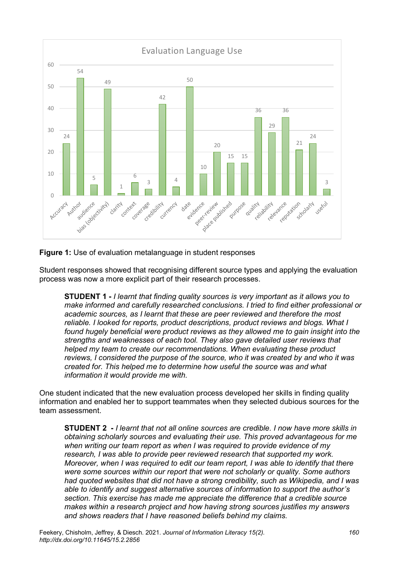

#### **Figure 1:** Use of evaluation metalanguage in student responses

Student responses showed that recognising different source types and applying the evaluation process was now a more explicit part of their research processes.

**STUDENT 1 -** *I learnt that finding quality sources is very important as it allows you to make informed and carefully researched conclusions. I tried to find either professional or academic sources, as I learnt that these are peer reviewed and therefore the most reliable. I looked for reports, product descriptions, product reviews and blogs. What I found hugely beneficial were product reviews as they allowed me to gain insight into the strengths and weaknesses of each tool. They also gave detailed user reviews that helped my team to create our recommendations. When evaluating these product reviews, I considered the purpose of the source, who it was created by and who it was created for. This helped me to determine how useful the source was and what information it would provide me with.*

One student indicated that the new evaluation process developed her skills in finding quality information and enabled her to support teammates when they selected dubious sources for the team assessment.

**STUDENT 2 -** *I learnt that not all online sources are credible. I now have more skills in obtaining scholarly sources and evaluating their use. This proved advantageous for me when writing our team report as when I was required to provide evidence of my research, I was able to provide peer reviewed research that supported my work. Moreover, when I was required to edit our team report, I was able to identify that there were some sources within our report that were not scholarly or quality. Some authors had quoted websites that did not have a strong credibility, such as Wikipedia, and I was able to identify and suggest alternative sources of information to support the author's section. This exercise has made me appreciate the difference that a credible source makes within a research project and how having strong sources justifies my answers and shows readers that I have reasoned beliefs behind my claims.*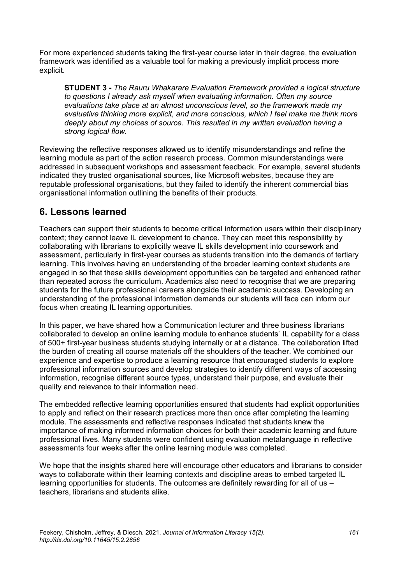For more experienced students taking the first-year course later in their degree, the evaluation framework was identified as a valuable tool for making a previously implicit process more explicit.

**STUDENT 3 -** *The Rauru Whakarare Evaluation Framework provided a logical structure to questions I already ask myself when evaluating information. Often my source evaluations take place at an almost unconscious level, so the framework made my evaluative thinking more explicit, and more conscious, which I feel make me think more deeply about my choices of source. This resulted in my written evaluation having a strong logical flow.*

Reviewing the reflective responses allowed us to identify misunderstandings and refine the learning module as part of the action research process. Common misunderstandings were addressed in subsequent workshops and assessment feedback. For example, several students indicated they trusted organisational sources, like Microsoft websites, because they are reputable professional organisations, but they failed to identify the inherent commercial bias organisational information outlining the benefits of their products.

## **6. Lessons learned**

Teachers can support their students to become critical information users within their disciplinary context; they cannot leave IL development to chance. They can meet this responsibility by collaborating with librarians to explicitly weave IL skills development into coursework and assessment, particularly in first-year courses as students transition into the demands of tertiary learning. This involves having an understanding of the broader learning context students are engaged in so that these skills development opportunities can be targeted and enhanced rather than repeated across the curriculum. Academics also need to recognise that we are preparing students for the future professional careers alongside their academic success. Developing an understanding of the professional information demands our students will face can inform our focus when creating IL learning opportunities.

In this paper, we have shared how a Communication lecturer and three business librarians collaborated to develop an online learning module to enhance students' IL capability for a class of 500+ first-year business students studying internally or at a distance. The collaboration lifted the burden of creating all course materials off the shoulders of the teacher. We combined our experience and expertise to produce a learning resource that encouraged students to explore professional information sources and develop strategies to identify different ways of accessing information, recognise different source types, understand their purpose, and evaluate their quality and relevance to their information need.

The embedded reflective learning opportunities ensured that students had explicit opportunities to apply and reflect on their research practices more than once after completing the learning module. The assessments and reflective responses indicated that students knew the importance of making informed information choices for both their academic learning and future professional lives. Many students were confident using evaluation metalanguage in reflective assessments four weeks after the online learning module was completed.

We hope that the insights shared here will encourage other educators and librarians to consider ways to collaborate within their learning contexts and discipline areas to embed targeted IL learning opportunities for students. The outcomes are definitely rewarding for all of us – teachers, librarians and students alike.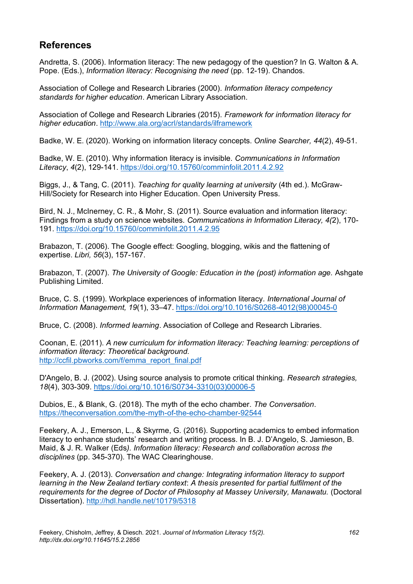## **References**

Andretta, S. (2006). Information literacy: The new pedagogy of the question? In G. Walton & A. Pope. (Eds.), *Information literacy: Recognising the need* (pp. 12-19). Chandos.

Association of College and Research Libraries (2000). *Information literacy competency standards for higher education*. American Library Association.

Association of College and Research Libraries (2015). *Framework for information literacy for higher education*.<http://www.ala.org/acrl/standards/ilframework>

Badke, W. E. (2020). Working on information literacy concepts. *Online Searcher, 44*(2), 49-51.

Badke, W. E. (2010). Why information literacy is invisible. *Communications in Information Literacy*, *4*(2), 129-141. <https://doi.org/10.15760/comminfolit.2011.4.2.92>

Biggs, J., & Tang, C. (2011). *Teaching for quality learning at university* (4th ed.). McGraw-Hill/Society for Research into Higher Education. Open University Press.

Bird, N. J., McInerney, C. R., & Mohr, S. (2011). Source evaluation and information literacy: Findings from a study on science websites. *Communications in Information Literacy, 4(*2), 170- 191. <https://doi.org/10.15760/comminfolit.2011.4.2.95>

Brabazon, T. (2006). The Google effect: Googling, blogging, wikis and the flattening of expertise. *Libri, 56*(3), 157-167.

Brabazon, T. (2007). *The University of Google: Education in the (post) information age.* Ashgate Publishing Limited.

Bruce, C. S. (1999). Workplace experiences of information literacy. *International Journal of Information Management, 19*(1), 33–47. [https://doi.org/10.1016/S0268-4012\(98\)00045-0](https://doi.org/10.1016/S0268-4012(98)00045-0)

Bruce, C. (2008). *Informed learning*. Association of College and Research Libraries.

Coonan, E. (2011). *A new curriculum for information literacy: Teaching learning: perceptions of information literacy: Theoretical background.* [http://ccfil.pbworks.com/f/emma\\_report\\_final.pdf](http://ccfil.pbworks.com/f/emma_report_final.pdf)

D'Angelo, B. J. (2002). Using source analysis to promote critical thinking. *Research strategies, 18*(4), 303-309. [https://doi.org/10.1016/S0734-3310\(03\)00006-5](https://doi.org/10.1016/S0734-3310(03)00006-5)

Dubios, E., & Blank, G. (2018). The myth of the echo chamber. *The Conversation*. <https://theconversation.com/the-myth-of-the-echo-chamber-92544>

Feekery, A. J., Emerson, L., & Skyrme, G. (2016). Supporting academics to embed information literacy to enhance students' research and writing process. In B. J. D'Angelo, S. Jamieson, B. Maid, & J. R. Walker (Eds*). Information literacy: Research and collaboration across the disciplines* (pp. 345-370). The WAC Clearinghouse.

Feekery, A. J. (2013). *Conversation and change: Integrating information literacy to support learning in the New Zealand tertiary context*: *A thesis presented for partial fulfilment of the requirements for the degree of Doctor of Philosophy at Massey University, Manawatu.* (Doctoral Dissertation).<http://hdl.handle.net/10179/5318>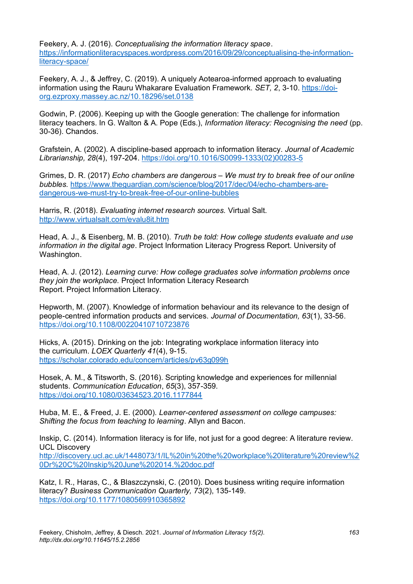Feekery, A. J. (2016). *Conceptualising the information literacy space*. [https://informationliteracyspaces.wordpress.com/2016/09/29/conceptualising-the-information](https://informationliteracyspaces.wordpress.com/2016/09/29/conceptualising-the-information-literacy-space/)[literacy-space/](https://informationliteracyspaces.wordpress.com/2016/09/29/conceptualising-the-information-literacy-space/)

Feekery, A. J., & Jeffrey, C. (2019). A uniquely Aotearoa-informed approach to evaluating information using the Rauru Whakarare Evaluation Framework. *SET, 2*, 3-10. [https://doi](https://doi-org.ezproxy.massey.ac.nz/10.18296/set.0138)[org.ezproxy.massey.ac.nz/10.18296/set.0138](https://doi-org.ezproxy.massey.ac.nz/10.18296/set.0138)

Godwin, P. (2006). Keeping up with the Google generation: The challenge for information literacy teachers. In G. Walton & A. Pope (Eds.), *Information literacy: Recognising the need* (pp. 30-36). Chandos.

Grafstein, A. (2002). A discipline-based approach to information literacy. *Journal of Academic Librarianship, 28*(4), 197-204. [https://doi.org/10.1016/S0099-1333\(02\)00283-5](https://doi.org/10.1016/S0099-1333(02)00283-5)

[Grimes,](https://www.theguardian.com/profile/david-robert-grimes) D. R. (2017) *Echo chambers are dangerous – We must try to break free of our online bubbles.* [https://www.theguardian.com/science/blog/2017/dec/04/echo-chambers-are](https://www.theguardian.com/science/blog/2017/dec/04/echo-chambers-are-dangerous-we-must-try-to-break-free-of-our-online-bubbles)[dangerous-we-must-try-to-break-free-of-our-online-bubbles](https://www.theguardian.com/science/blog/2017/dec/04/echo-chambers-are-dangerous-we-must-try-to-break-free-of-our-online-bubbles)

Harris, R. (2018). *Evaluating internet research sources.* Virtual Salt. <http://www.virtualsalt.com/evalu8it.htm>

Head, A. J., & Eisenberg, M. B. (2010). *Truth be told: How college students evaluate and use information in the digital age*. Project Information Literacy Progress Report. University of Washington.

Head, A. J. (2012). *Learning curve: How college graduates solve information problems once they join the workplace.* Project Information Literacy Research Report. Project Information Literacy.

Hepworth, M. (2007). Knowledge of information behaviour and its relevance to the design of people-centred information products and services. *Journal of Documentation, 63*(1), 33-56. <https://doi.org/10.1108/00220410710723876>

Hicks, A. (2015). Drinking on the job: Integrating workplace information literacy into the curriculum. *LOEX Quarterly 41*(4), 9-15. <https://scholar.colorado.edu/concern/articles/pv63g099h>

Hosek, A. M., & Titsworth, S. (2016). Scripting knowledge and experiences for millennial students. *Communication Education*, *65*(3), 357-359. <https://doi.org/10.1080/03634523.2016.1177844>

Huba, M. E., & Freed, J. E. (2000)*. Learner-centered assessment on college campuses: Shifting the focus from teaching to learning*. Allyn and Bacon.

Inskip, C. (2014). Information literacy is for life, not just for a good degree: A literature review. UCL Discovery [http://discovery.ucl.ac.uk/1448073/1/IL%20in%20the%20workplace%20literature%20review%2](http://discovery.ucl.ac.uk/1448073/1/IL%20in%20the%20workplace%20literature%20review%20Dr%20C%20Inskip%20June%202014.%20doc.pdf) [0Dr%20C%20Inskip%20June%202014.%20doc.pdf](http://discovery.ucl.ac.uk/1448073/1/IL%20in%20the%20workplace%20literature%20review%20Dr%20C%20Inskip%20June%202014.%20doc.pdf)

Katz, I. R., Haras, C., & Blaszczynski, C. (2010). Does business writing require information literacy? *Business Communication Quarterly, 73*(2), 135-149. <https://doi.org/10.1177/1080569910365892>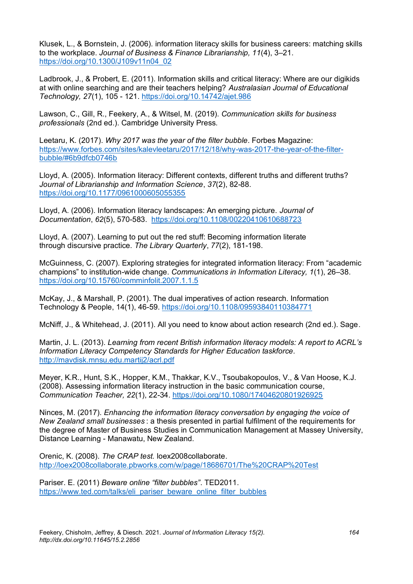Klusek, L., & Bornstein, J. (2006). information literacy skills for business careers: matching skills to the workplace. *Journal of Business & Finance Librarianship, 11*(4), 3–21. [https://doi.org/10.1300/J109v11n04\\_02](https://doi.org/10.1300/J109v11n04_02)

Ladbrook, J., & Probert, E. (2011). Information skills and critical literacy: Where are our digikids at with online searching and are their teachers helping? *Australasian Journal of Educational Technology, 27*(1), 105 - 121. <https://doi.org/10.14742/ajet.986>

Lawson, C., Gill, R., Feekery, A., & Witsel, M. (2019). *Communication skills for business professionals* (2nd ed.). Cambridge University Press.

Leetaru, K. (2017). *Why 2017 was the year of the filter bubble*. Forbes Magazine: [https://www.forbes.com/sites/kalevleetaru/2017/12/18/why-was-2017-the-year-of-the-filter](https://www.forbes.com/sites/kalevleetaru/2017/12/18/why-was-2017-the-year-of-the-filter-bubble/#6b9dfcb0746b)[bubble/#6b9dfcb0746b](https://www.forbes.com/sites/kalevleetaru/2017/12/18/why-was-2017-the-year-of-the-filter-bubble/#6b9dfcb0746b)

Lloyd, A. (2005). Information literacy: Different contexts, different truths and different truths? *Journal of Librarianship and Information Science*, *37*(2), 82-88. [https://doi.org/10.1177/0961000605055355](https://doi.org/10.1177%2F0961000605055355)

Lloyd, A. (2006). Information literacy landscapes: An emerging picture. *Journal of Documentation*, *62*(5), 570-583. <https://doi.org/10.1108/00220410610688723>

Lloyd, A. (2007). Learning to put out the red stuff: Becoming information literate through discursive practice. *The Library Quarterly*, *77*(2), 181-198.

McGuinness, C. (2007). Exploring strategies for integrated information literacy: From "academic champions" to institution-wide change. *Communications in Information Literacy, 1*(1), 26–38. <https://doi.org/10.15760/comminfolit.2007.1.1.5>

McKay, J., & Marshall, P. (2001). The dual imperatives of action research. Information Technology & People, 14(1), 46-59. <https://doi.org/10.1108/09593840110384771>

McNiff, J., & Whitehead, J. (2011). All you need to know about action research (2nd ed.). Sage.

Martin, J. L. (2013). *Learning from recent British information literacy models: A report to ACRL's Information Literacy Competency Standards for Higher Education taskforce*. <http://mavdisk.mnsu.edu.martij2/acrl.pdf>

Meyer, K.R., Hunt, S.K., Hopper, K.M., Thakkar, K.V., Tsoubakopoulos, V., & Van Hoose, K.J. (2008). Assessing information literacy instruction in the basic communication course, *Communication Teacher, 22*(1), 22-34. <https://doi.org/10.1080/17404620801926925>

Ninces, M. (2017). *Enhancing the information literacy conversation by engaging the voice of New Zealand small businesses* : a thesis presented in partial fulfilment of the requirements for the degree of Master of Business Studies in Communication Management at Massey University, Distance Learning - Manawatu, New Zealand.

Orenic, K. (2008). *The CRAP test.* loex2008collaborate. <http://loex2008collaborate.pbworks.com/w/page/18686701/The%20CRAP%20Test>

Pariser. E. (2011) *Beware online "filter bubbles"*. TED2011. [https://www.ted.com/talks/eli\\_pariser\\_beware\\_online\\_filter\\_bubbles](https://www.ted.com/talks/eli_pariser_beware_online_filter_bubbles)